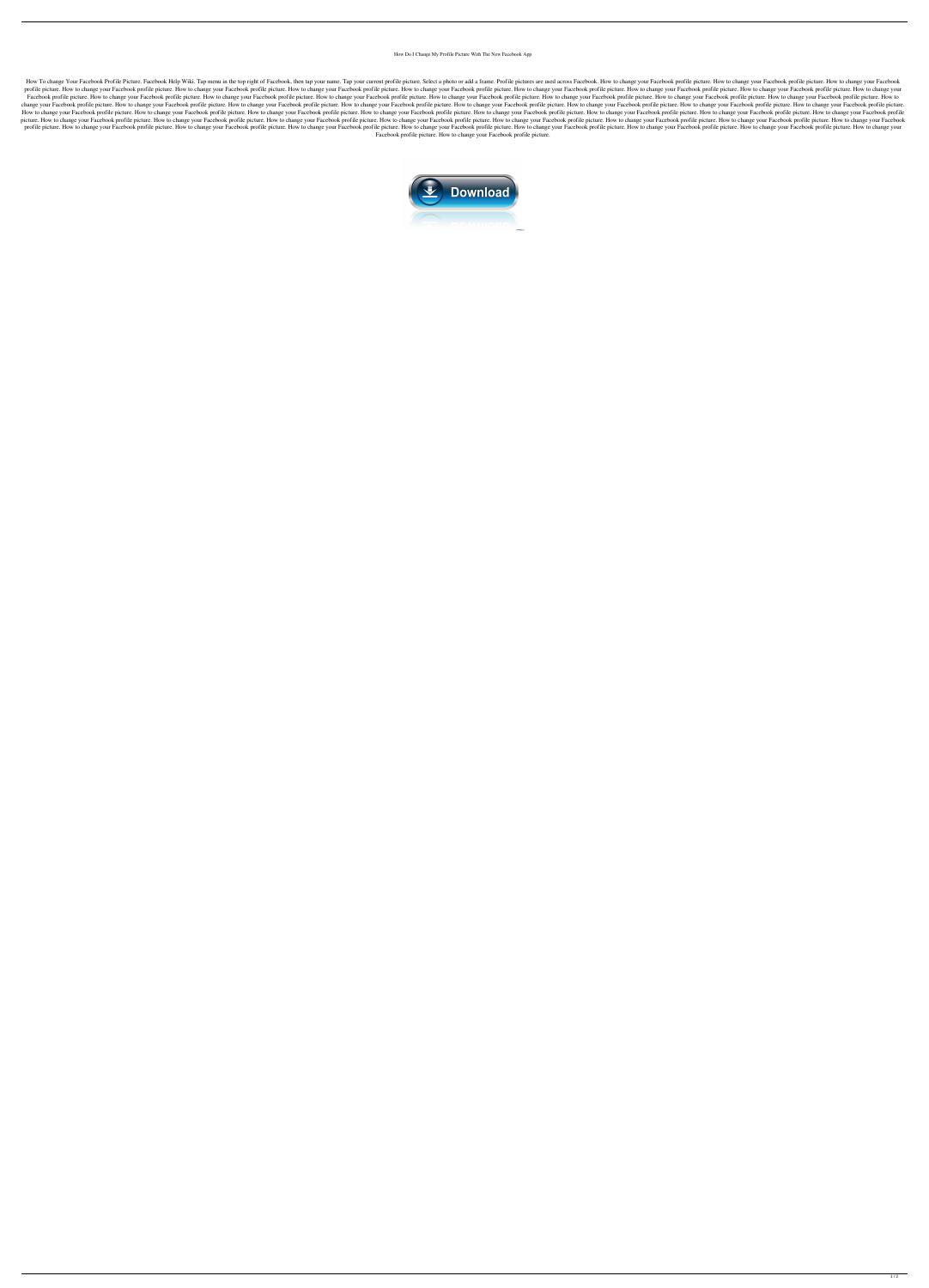## How Do I Change My Profile Picture With The New Facebook App

How To change Your Facebook Profile Picture. Facebook Help Wiki. Tap menu in the top right of Facebook, then tap your name. Tap your current profile picture. Select a photo or add a frame. Profile pictures are used across profile picture. How to change your Facebook profile picture. How to change your Facebook profile picture. How to change your Facebook profile picture. How to change your Facebook profile picture. How to change your Facebo Facebook profile picture. How to change your Facebook profile picture. How to change your Facebook profile picture. How to change your Facebook profile picture. How to change your Facebook profile picture. How to change yo change your Facebook profile picture. How to change your Facebook profile picture. How to change your Facebook profile picture. How to change your Facebook profile picture. How to change your Facebook profile picture. How How to change your Facebook profile picture. How to change your Facebook profile picture. How to change your Facebook profile picture. How to change your Facebook profile picture. How to change your Facebook profile pictur picture. How to change your Facebook profile picture. How to change your Facebook profile picture. How to change your Facebook profile picture. How to change your Facebook profile picture. How to change your Facebook profi profile picture. How to change your Facebook profile picture. How to change your Facebook profile picture. How to change your Facebook profile picture. How to change your Facebook profile picture. How to change your Facebo Facebook profile picture. How to change your Facebook profile picture.